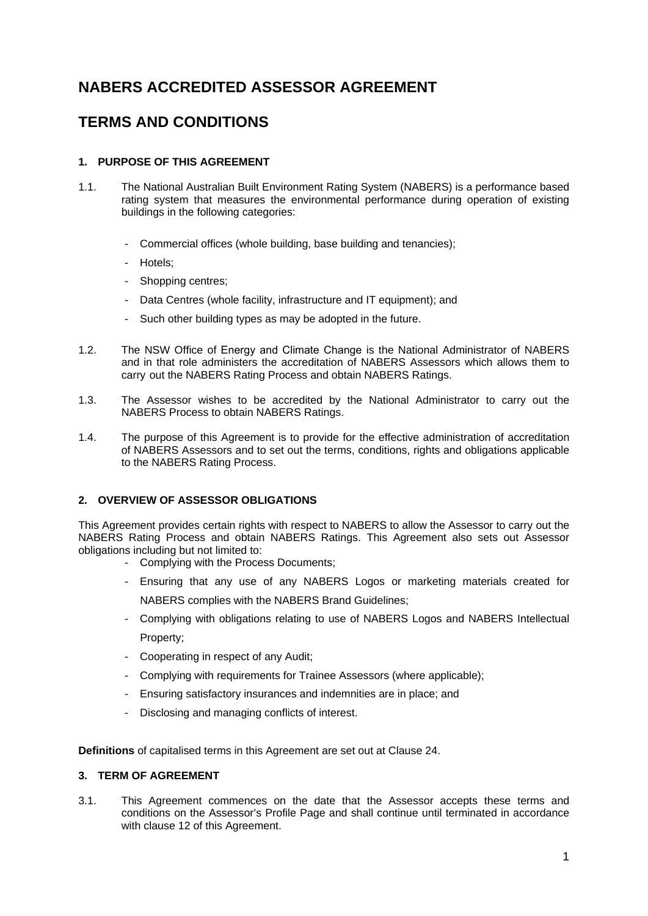# **NABERS ACCREDITED ASSESSOR AGREEMENT**

# **TERMS AND CONDITIONS**

# **1. PURPOSE OF THIS AGREEMENT**

- 1.1. The National Australian Built Environment Rating System (NABERS) is a performance based rating system that measures the environmental performance during operation of existing buildings in the following categories:
	- Commercial offices (whole building, base building and tenancies);
	- Hotels;
	- Shopping centres;
	- Data Centres (whole facility, infrastructure and IT equipment); and
	- Such other building types as may be adopted in the future.
- 1.2. The NSW Office of Energy and Climate Change is the National Administrator of NABERS and in that role administers the accreditation of NABERS Assessors which allows them to carry out the NABERS Rating Process and obtain NABERS Ratings.
- 1.3. The Assessor wishes to be accredited by the National Administrator to carry out the NABERS Process to obtain NABERS Ratings.
- 1.4. The purpose of this Agreement is to provide for the effective administration of accreditation of NABERS Assessors and to set out the terms, conditions, rights and obligations applicable to the NABERS Rating Process.

# **2. OVERVIEW OF ASSESSOR OBLIGATIONS**

This Agreement provides certain rights with respect to NABERS to allow the Assessor to carry out the NABERS Rating Process and obtain NABERS Ratings. This Agreement also sets out Assessor obligations including but not limited to:

- Complying with the Process Documents;
- Ensuring that any use of any NABERS Logos or marketing materials created for NABERS complies with the NABERS Brand Guidelines;
- Complying with obligations relating to use of NABERS Logos and NABERS Intellectual Property;
- Cooperating in respect of any Audit;
- Complying with requirements for Trainee Assessors (where applicable);
- Ensuring satisfactory insurances and indemnities are in place; and
- Disclosing and managing conflicts of interest.

**Definitions** of capitalised terms in this Agreement are set out at Clause 24.

# **3. TERM OF AGREEMENT**

3.1. This Agreement commences on the date that the Assessor accepts these terms and conditions on the Assessor's Profile Page and shall continue until terminated in accordance with clause 12 of this Agreement.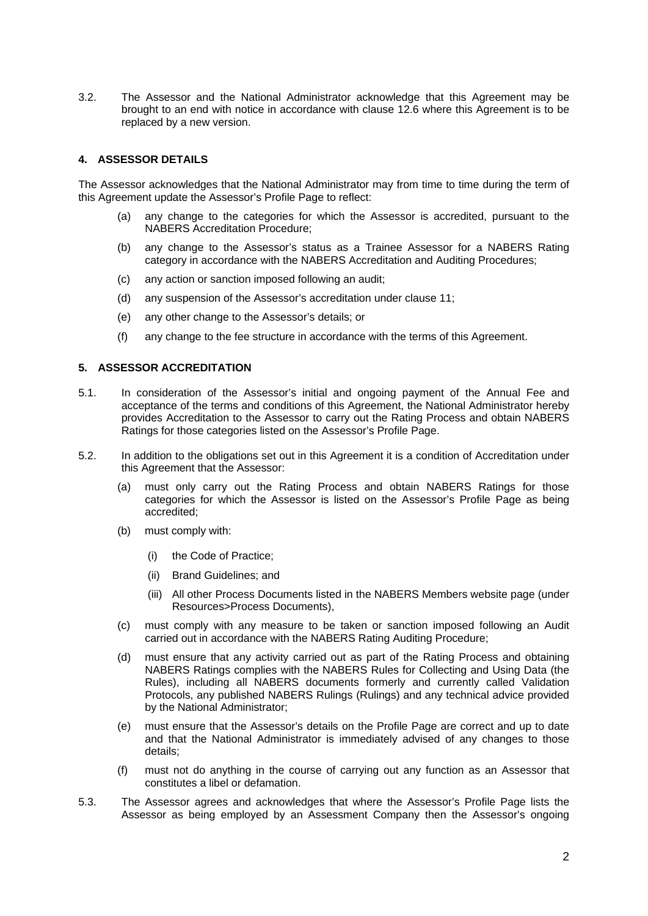3.2. The Assessor and the National Administrator acknowledge that this Agreement may be brought to an end with notice in accordance with clause 12.6 where this Agreement is to be replaced by a new version.

## **4. ASSESSOR DETAILS**

The Assessor acknowledges that the National Administrator may from time to time during the term of this Agreement update the Assessor's Profile Page to reflect:

- (a) any change to the categories for which the Assessor is accredited, pursuant to the NABERS Accreditation Procedure;
- (b) any change to the Assessor's status as a Trainee Assessor for a NABERS Rating category in accordance with the NABERS Accreditation and Auditing Procedures;
- (c) any action or sanction imposed following an audit;
- (d) any suspension of the Assessor's accreditation under clause 11;
- (e) any other change to the Assessor's details; or
- (f) any change to the fee structure in accordance with the terms of this Agreement.

## **5. ASSESSOR ACCREDITATION**

- 5.1. In consideration of the Assessor's initial and ongoing payment of the Annual Fee and acceptance of the terms and conditions of this Agreement, the National Administrator hereby provides Accreditation to the Assessor to carry out the Rating Process and obtain NABERS Ratings for those categories listed on the Assessor's Profile Page.
- 5.2. In addition to the obligations set out in this Agreement it is a condition of Accreditation under this Agreement that the Assessor:
	- (a) must only carry out the Rating Process and obtain NABERS Ratings for those categories for which the Assessor is listed on the Assessor's Profile Page as being accredited;
	- (b) must comply with:
		- (i) the Code of Practice;
		- (ii) Brand Guidelines; and
		- (iii) All other Process Documents listed in the NABERS Members website page (under Resources>Process Documents),
	- (c) must comply with any measure to be taken or sanction imposed following an Audit carried out in accordance with the NABERS Rating Auditing Procedure;
	- (d) must ensure that any activity carried out as part of the Rating Process and obtaining NABERS Ratings complies with the NABERS Rules for Collecting and Using Data (the Rules), including all NABERS documents formerly and currently called Validation Protocols, any published NABERS Rulings (Rulings) and any technical advice provided by the National Administrator;
	- (e) must ensure that the Assessor's details on the Profile Page are correct and up to date and that the National Administrator is immediately advised of any changes to those details;
	- (f) must not do anything in the course of carrying out any function as an Assessor that constitutes a libel or defamation.
- 5.3. The Assessor agrees and acknowledges that where the Assessor's Profile Page lists the Assessor as being employed by an Assessment Company then the Assessor's ongoing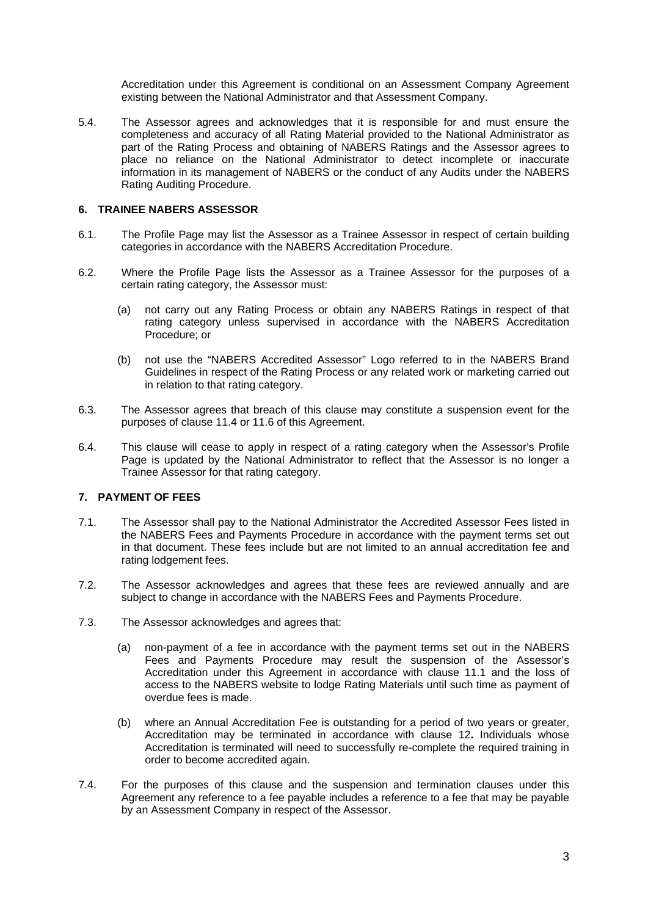Accreditation under this Agreement is conditional on an Assessment Company Agreement existing between the National Administrator and that Assessment Company.

5.4. The Assessor agrees and acknowledges that it is responsible for and must ensure the completeness and accuracy of all Rating Material provided to the National Administrator as part of the Rating Process and obtaining of NABERS Ratings and the Assessor agrees to place no reliance on the National Administrator to detect incomplete or inaccurate information in its management of NABERS or the conduct of any Audits under the NABERS Rating Auditing Procedure.

## **6. TRAINEE NABERS ASSESSOR**

- 6.1. The Profile Page may list the Assessor as a Trainee Assessor in respect of certain building categories in accordance with the NABERS Accreditation Procedure.
- 6.2. Where the Profile Page lists the Assessor as a Trainee Assessor for the purposes of a certain rating category, the Assessor must:
	- (a) not carry out any Rating Process or obtain any NABERS Ratings in respect of that rating category unless supervised in accordance with the NABERS Accreditation Procedure; or
	- (b) not use the "NABERS Accredited Assessor" Logo referred to in the NABERS Brand Guidelines in respect of the Rating Process or any related work or marketing carried out in relation to that rating category.
- 6.3. The Assessor agrees that breach of this clause may constitute a suspension event for the purposes of clause 11.4 or 11.6 of this Agreement.
- 6.4. This clause will cease to apply in respect of a rating category when the Assessor's Profile Page is updated by the National Administrator to reflect that the Assessor is no longer a Trainee Assessor for that rating category.

## **7. PAYMENT OF FEES**

- 7.1. The Assessor shall pay to the National Administrator the Accredited Assessor Fees listed in the NABERS Fees and Payments Procedure in accordance with the payment terms set out in that document. These fees include but are not limited to an annual accreditation fee and rating lodgement fees.
- 7.2. The Assessor acknowledges and agrees that these fees are reviewed annually and are subject to change in accordance with the NABERS Fees and Payments Procedure.
- 7.3. The Assessor acknowledges and agrees that:
	- (a) non-payment of a fee in accordance with the payment terms set out in the NABERS Fees and Payments Procedure may result the suspension of the Assessor's Accreditation under this Agreement in accordance with clause 11.1 and the loss of access to the NABERS website to lodge Rating Materials until such time as payment of overdue fees is made.
	- (b) where an Annual Accreditation Fee is outstanding for a period of two years or greater, Accreditation may be terminated in accordance with clause 12**.** Individuals whose Accreditation is terminated will need to successfully re-complete the required training in order to become accredited again.
- 7.4. For the purposes of this clause and the suspension and termination clauses under this Agreement any reference to a fee payable includes a reference to a fee that may be payable by an Assessment Company in respect of the Assessor.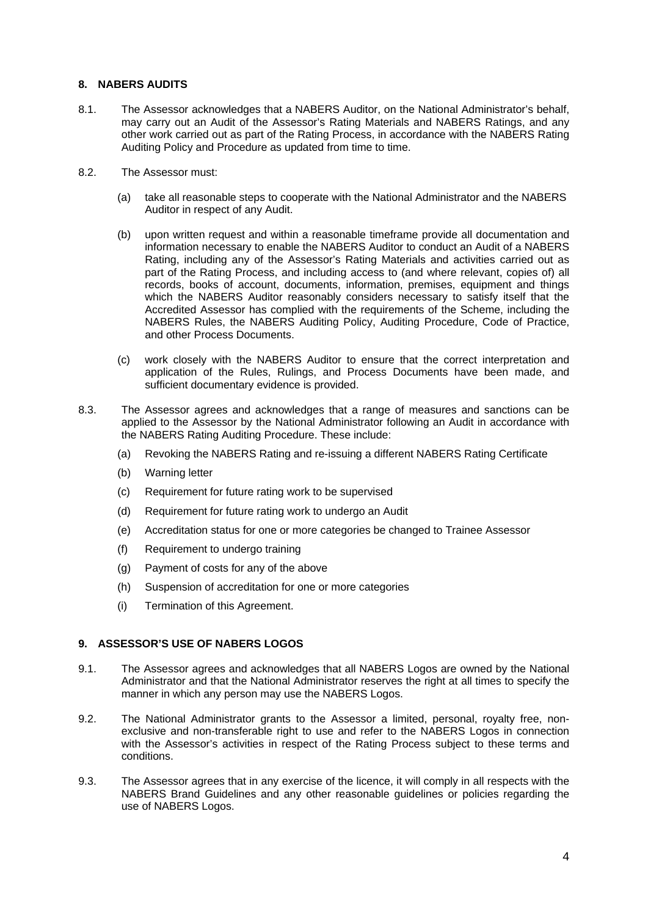## **8. NABERS AUDITS**

- 8.1. The Assessor acknowledges that a NABERS Auditor, on the National Administrator's behalf, may carry out an Audit of the Assessor's Rating Materials and NABERS Ratings, and any other work carried out as part of the Rating Process, in accordance with the NABERS Rating Auditing Policy and Procedure as updated from time to time.
- 8.2. The Assessor must:
	- (a) take all reasonable steps to cooperate with the National Administrator and the NABERS Auditor in respect of any Audit.
	- (b) upon written request and within a reasonable timeframe provide all documentation and information necessary to enable the NABERS Auditor to conduct an Audit of a NABERS Rating, including any of the Assessor's Rating Materials and activities carried out as part of the Rating Process, and including access to (and where relevant, copies of) all records, books of account, documents, information, premises, equipment and things which the NABERS Auditor reasonably considers necessary to satisfy itself that the Accredited Assessor has complied with the requirements of the Scheme, including the NABERS Rules, the NABERS Auditing Policy, Auditing Procedure, Code of Practice, and other Process Documents.
	- (c) work closely with the NABERS Auditor to ensure that the correct interpretation and application of the Rules, Rulings, and Process Documents have been made, and sufficient documentary evidence is provided.
- 8.3. The Assessor agrees and acknowledges that a range of measures and sanctions can be applied to the Assessor by the National Administrator following an Audit in accordance with the NABERS Rating Auditing Procedure. These include:
	- (a) Revoking the NABERS Rating and re-issuing a different NABERS Rating Certificate
	- (b) Warning letter
	- (c) Requirement for future rating work to be supervised
	- (d) Requirement for future rating work to undergo an Audit
	- (e) Accreditation status for one or more categories be changed to Trainee Assessor
	- (f) Requirement to undergo training
	- (g) Payment of costs for any of the above
	- (h) Suspension of accreditation for one or more categories
	- (i) Termination of this Agreement.

## **9. ASSESSOR'S USE OF NABERS LOGOS**

- 9.1. The Assessor agrees and acknowledges that all NABERS Logos are owned by the National Administrator and that the National Administrator reserves the right at all times to specify the manner in which any person may use the NABERS Logos.
- 9.2. The National Administrator grants to the Assessor a limited, personal, royalty free, nonexclusive and non-transferable right to use and refer to the NABERS Logos in connection with the Assessor's activities in respect of the Rating Process subject to these terms and conditions.
- 9.3. The Assessor agrees that in any exercise of the licence, it will comply in all respects with the NABERS Brand Guidelines and any other reasonable guidelines or policies regarding the use of NABERS Logos.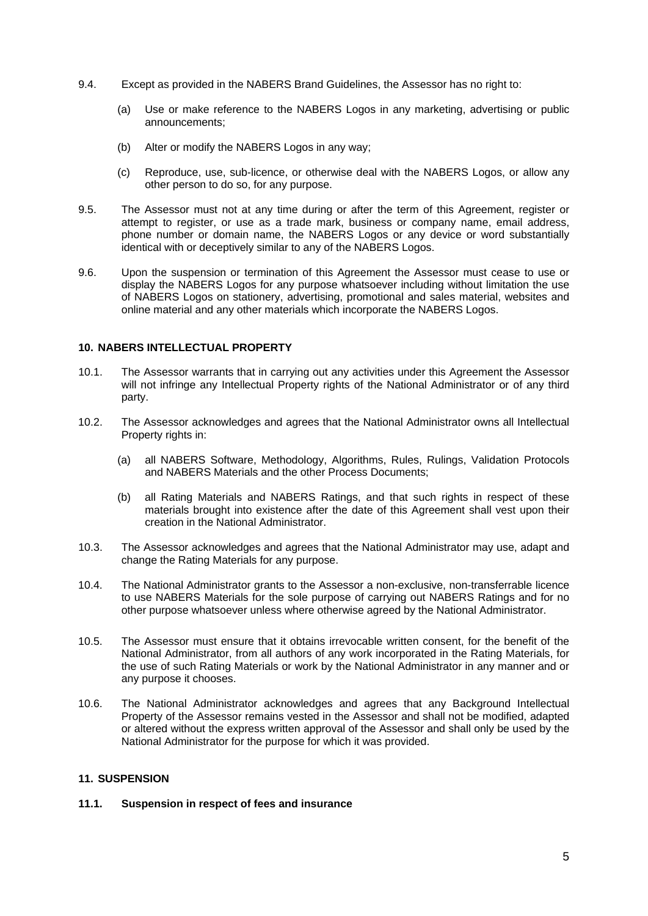- 9.4. Except as provided in the NABERS Brand Guidelines, the Assessor has no right to:
	- (a) Use or make reference to the NABERS Logos in any marketing, advertising or public announcements;
	- (b) Alter or modify the NABERS Logos in any way;
	- (c) Reproduce, use, sub-licence, or otherwise deal with the NABERS Logos, or allow any other person to do so, for any purpose.
- 9.5. The Assessor must not at any time during or after the term of this Agreement, register or attempt to register, or use as a trade mark, business or company name, email address, phone number or domain name, the NABERS Logos or any device or word substantially identical with or deceptively similar to any of the NABERS Logos.
- 9.6. Upon the suspension or termination of this Agreement the Assessor must cease to use or display the NABERS Logos for any purpose whatsoever including without limitation the use of NABERS Logos on stationery, advertising, promotional and sales material, websites and online material and any other materials which incorporate the NABERS Logos.

## **10. NABERS INTELLECTUAL PROPERTY**

- 10.1. The Assessor warrants that in carrying out any activities under this Agreement the Assessor will not infringe any Intellectual Property rights of the National Administrator or of any third party.
- 10.2. The Assessor acknowledges and agrees that the National Administrator owns all Intellectual Property rights in:
	- (a) all NABERS Software, Methodology, Algorithms, Rules, Rulings, Validation Protocols and NABERS Materials and the other Process Documents;
	- (b) all Rating Materials and NABERS Ratings, and that such rights in respect of these materials brought into existence after the date of this Agreement shall vest upon their creation in the National Administrator.
- 10.3. The Assessor acknowledges and agrees that the National Administrator may use, adapt and change the Rating Materials for any purpose.
- 10.4. The National Administrator grants to the Assessor a non-exclusive, non-transferrable licence to use NABERS Materials for the sole purpose of carrying out NABERS Ratings and for no other purpose whatsoever unless where otherwise agreed by the National Administrator.
- 10.5. The Assessor must ensure that it obtains irrevocable written consent, for the benefit of the National Administrator, from all authors of any work incorporated in the Rating Materials, for the use of such Rating Materials or work by the National Administrator in any manner and or any purpose it chooses.
- 10.6. The National Administrator acknowledges and agrees that any Background Intellectual Property of the Assessor remains vested in the Assessor and shall not be modified, adapted or altered without the express written approval of the Assessor and shall only be used by the National Administrator for the purpose for which it was provided.

## **11. SUSPENSION**

## **11.1. Suspension in respect of fees and insurance**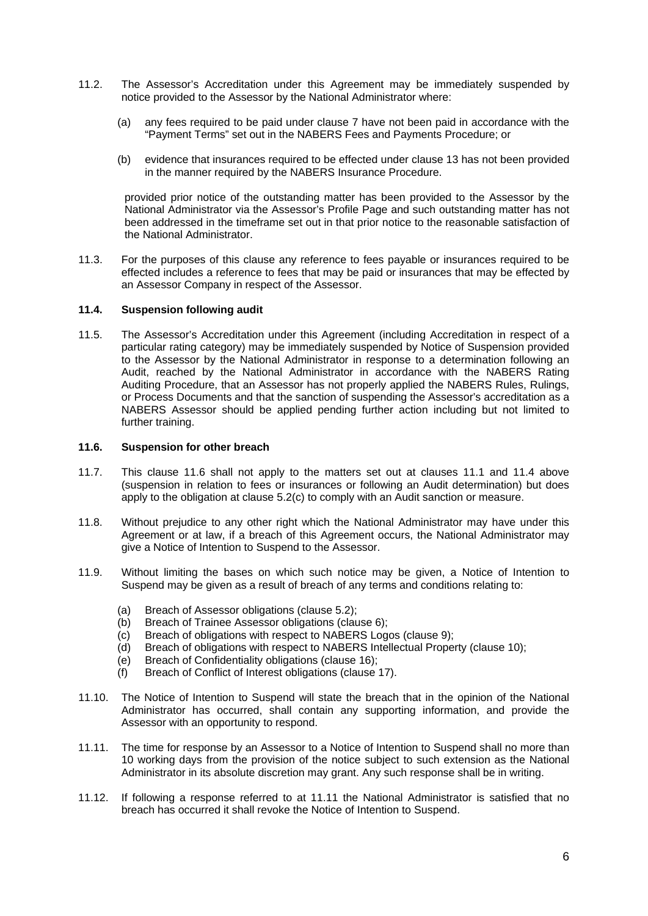- 11.2. The Assessor's Accreditation under this Agreement may be immediately suspended by notice provided to the Assessor by the National Administrator where:
	- (a) any fees required to be paid under clause 7 have not been paid in accordance with the "Payment Terms" set out in the NABERS Fees and Payments Procedure; or
	- (b) evidence that insurances required to be effected under clause 13 has not been provided in the manner required by the NABERS Insurance Procedure.

provided prior notice of the outstanding matter has been provided to the Assessor by the National Administrator via the Assessor's Profile Page and such outstanding matter has not been addressed in the timeframe set out in that prior notice to the reasonable satisfaction of the National Administrator.

11.3. For the purposes of this clause any reference to fees payable or insurances required to be effected includes a reference to fees that may be paid or insurances that may be effected by an Assessor Company in respect of the Assessor.

#### **11.4. Suspension following audit**

11.5. The Assessor's Accreditation under this Agreement (including Accreditation in respect of a particular rating category) may be immediately suspended by Notice of Suspension provided to the Assessor by the National Administrator in response to a determination following an Audit, reached by the National Administrator in accordance with the NABERS Rating Auditing Procedure, that an Assessor has not properly applied the NABERS Rules, Rulings, or Process Documents and that the sanction of suspending the Assessor's accreditation as a NABERS Assessor should be applied pending further action including but not limited to further training.

## **11.6. Suspension for other breach**

- 11.7. This clause 11.6 shall not apply to the matters set out at clauses 11.1 and 11.4 above (suspension in relation to fees or insurances or following an Audit determination) but does apply to the obligation at clause 5.2(c) to comply with an Audit sanction or measure.
- 11.8. Without prejudice to any other right which the National Administrator may have under this Agreement or at law, if a breach of this Agreement occurs, the National Administrator may give a Notice of Intention to Suspend to the Assessor.
- 11.9. Without limiting the bases on which such notice may be given, a Notice of Intention to Suspend may be given as a result of breach of any terms and conditions relating to:
	- (a) Breach of Assessor obligations (clause 5.2);
	- (b) Breach of Trainee Assessor obligations (clause 6);
	- (c) Breach of obligations with respect to NABERS Logos (clause 9);
	- (d) Breach of obligations with respect to NABERS Intellectual Property (clause 10);
	- (e) Breach of Confidentiality obligations (clause 16);
	- (f) Breach of Conflict of Interest obligations (clause 17).
- 11.10. The Notice of Intention to Suspend will state the breach that in the opinion of the National Administrator has occurred, shall contain any supporting information, and provide the Assessor with an opportunity to respond.
- 11.11. The time for response by an Assessor to a Notice of Intention to Suspend shall no more than 10 working days from the provision of the notice subject to such extension as the National Administrator in its absolute discretion may grant. Any such response shall be in writing.
- 11.12. If following a response referred to at 11.11 the National Administrator is satisfied that no breach has occurred it shall revoke the Notice of Intention to Suspend.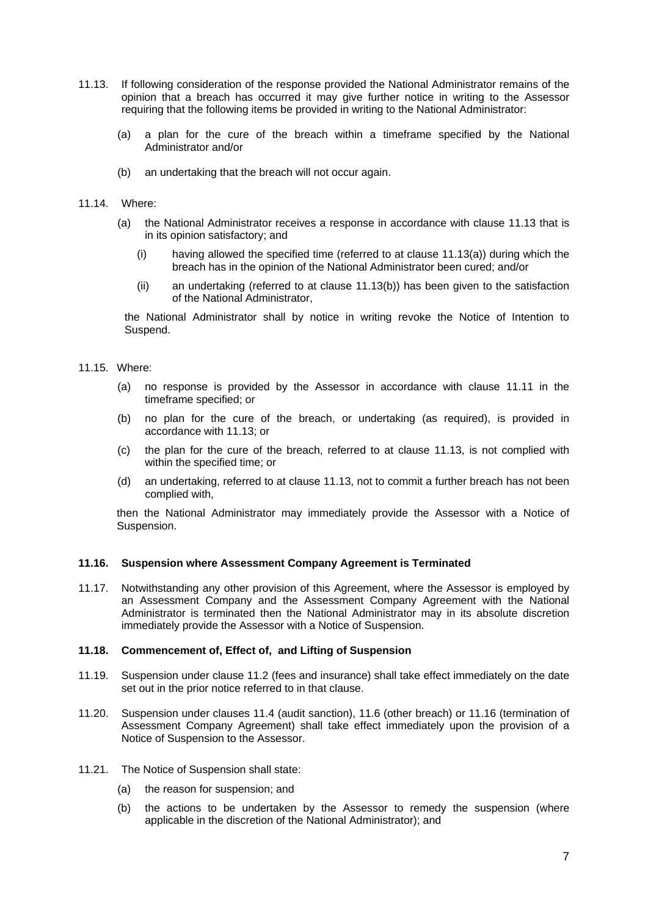- 11.13. If following consideration of the response provided the National Administrator remains of the opinion that a breach has occurred it may give further notice in writing to the Assessor requiring that the following items be provided in writing to the National Administrator:
	- (a) a plan for the cure of the breach within a timeframe specified by the National Administrator and/or
	- (b) an undertaking that the breach will not occur again.
- 11.14. Where:
	- (a) the National Administrator receives a response in accordance with clause 11.13 that is in its opinion satisfactory; and
		- $(i)$  having allowed the specified time (referred to at clause 11.13(a)) during which the breach has in the opinion of the National Administrator been cured; and/or
		- (ii) an undertaking (referred to at clause 11.13(b)) has been given to the satisfaction of the National Administrator,

the National Administrator shall by notice in writing revoke the Notice of Intention to Suspend.

- 11.15. Where:
	- (a) no response is provided by the Assessor in accordance with clause 11.11 in the timeframe specified; or
	- (b) no plan for the cure of the breach, or undertaking (as required), is provided in accordance with 11.13; or
	- (c) the plan for the cure of the breach, referred to at clause 11.13, is not complied with within the specified time; or
	- (d) an undertaking, referred to at clause 11.13, not to commit a further breach has not been complied with,

then the National Administrator may immediately provide the Assessor with a Notice of Suspension.

#### **11.16. Suspension where Assessment Company Agreement is Terminated**

11.17. Notwithstanding any other provision of this Agreement, where the Assessor is employed by an Assessment Company and the Assessment Company Agreement with the National Administrator is terminated then the National Administrator may in its absolute discretion immediately provide the Assessor with a Notice of Suspension.

## **11.18. Commencement of, Effect of, and Lifting of Suspension**

- 11.19. Suspension under clause 11.2 (fees and insurance) shall take effect immediately on the date set out in the prior notice referred to in that clause.
- 11.20. Suspension under clauses 11.4 (audit sanction), 11.6 (other breach) or 11.16 (termination of Assessment Company Agreement) shall take effect immediately upon the provision of a Notice of Suspension to the Assessor.
- 11.21. The Notice of Suspension shall state:
	- (a) the reason for suspension; and
	- (b) the actions to be undertaken by the Assessor to remedy the suspension (where applicable in the discretion of the National Administrator); and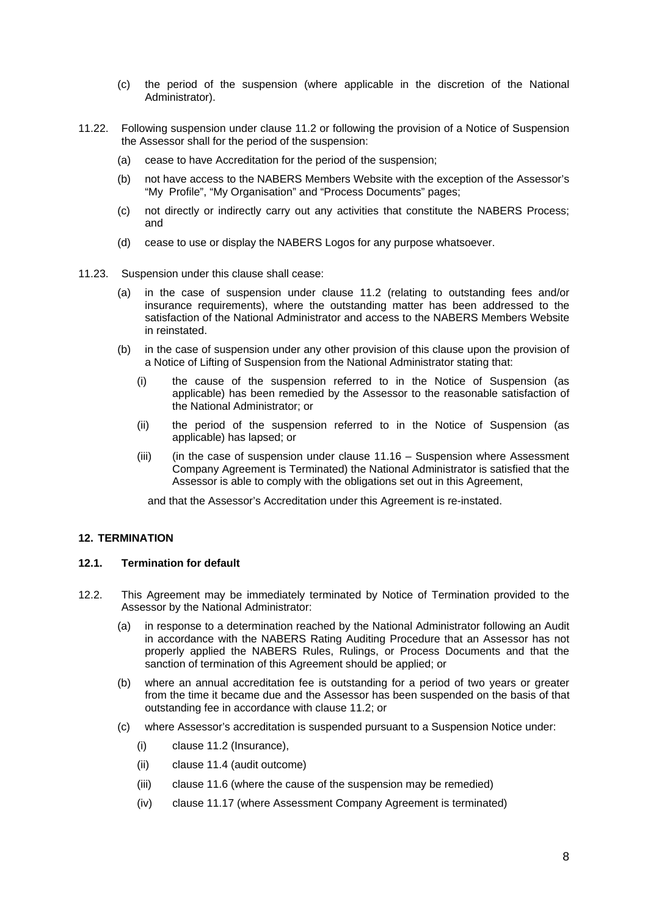- (c) the period of the suspension (where applicable in the discretion of the National Administrator).
- 11.22. Following suspension under clause 11.2 or following the provision of a Notice of Suspension the Assessor shall for the period of the suspension:
	- (a) cease to have Accreditation for the period of the suspension;
	- (b) not have access to the NABERS Members Website with the exception of the Assessor's "My Profile", "My Organisation" and "Process Documents" pages;
	- (c) not directly or indirectly carry out any activities that constitute the NABERS Process; and
	- (d) cease to use or display the NABERS Logos for any purpose whatsoever.
- 11.23. Suspension under this clause shall cease:
	- (a) in the case of suspension under clause 11.2 (relating to outstanding fees and/or insurance requirements), where the outstanding matter has been addressed to the satisfaction of the National Administrator and access to the NABERS Members Website in reinstated.
	- (b) in the case of suspension under any other provision of this clause upon the provision of a Notice of Lifting of Suspension from the National Administrator stating that:
		- (i) the cause of the suspension referred to in the Notice of Suspension (as applicable) has been remedied by the Assessor to the reasonable satisfaction of the National Administrator; or
		- (ii) the period of the suspension referred to in the Notice of Suspension (as applicable) has lapsed; or
		- (iii) (in the case of suspension under clause 11.16 Suspension where Assessment Company Agreement is Terminated) the National Administrator is satisfied that the Assessor is able to comply with the obligations set out in this Agreement,

and that the Assessor's Accreditation under this Agreement is re-instated.

#### **12. TERMINATION**

#### **12.1. Termination for default**

- 12.2. This Agreement may be immediately terminated by Notice of Termination provided to the Assessor by the National Administrator:
	- (a) in response to a determination reached by the National Administrator following an Audit in accordance with the NABERS Rating Auditing Procedure that an Assessor has not properly applied the NABERS Rules, Rulings, or Process Documents and that the sanction of termination of this Agreement should be applied; or
	- (b) where an annual accreditation fee is outstanding for a period of two years or greater from the time it became due and the Assessor has been suspended on the basis of that outstanding fee in accordance with clause 11.2; or
	- (c) where Assessor's accreditation is suspended pursuant to a Suspension Notice under:
		- (i) clause 11.2 (Insurance),
		- (ii) clause 11.4 (audit outcome)
		- (iii) clause 11.6 (where the cause of the suspension may be remedied)
		- (iv) clause 11.17 (where Assessment Company Agreement is terminated)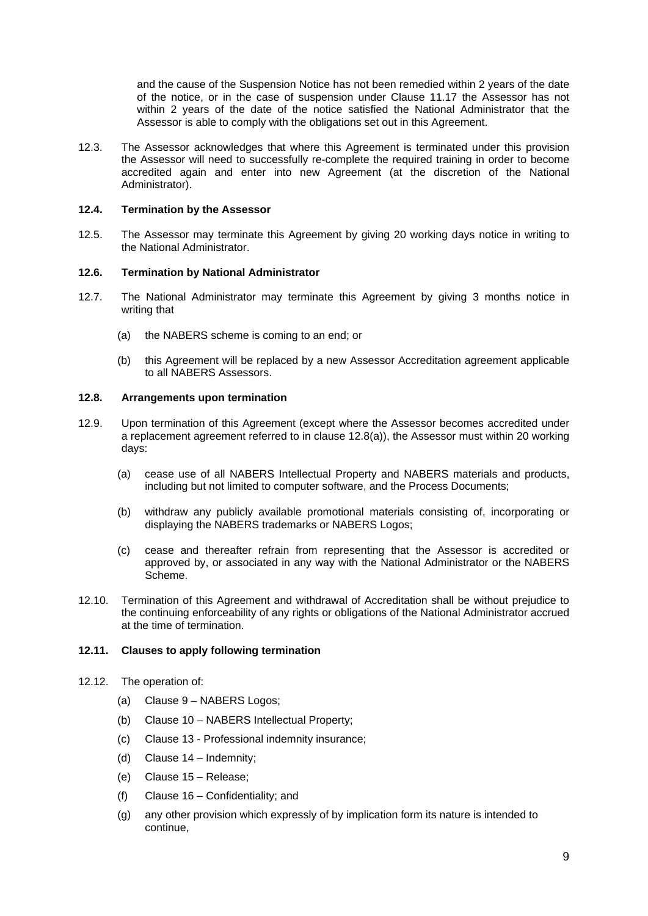and the cause of the Suspension Notice has not been remedied within 2 years of the date of the notice, or in the case of suspension under Clause 11.17 the Assessor has not within 2 years of the date of the notice satisfied the National Administrator that the Assessor is able to comply with the obligations set out in this Agreement.

12.3. The Assessor acknowledges that where this Agreement is terminated under this provision the Assessor will need to successfully re-complete the required training in order to become accredited again and enter into new Agreement (at the discretion of the National Administrator).

## **12.4. Termination by the Assessor**

12.5. The Assessor may terminate this Agreement by giving 20 working days notice in writing to the National Administrator.

## **12.6. Termination by National Administrator**

- 12.7. The National Administrator may terminate this Agreement by giving 3 months notice in writing that
	- (a) the NABERS scheme is coming to an end; or
	- (b) this Agreement will be replaced by a new Assessor Accreditation agreement applicable to all NABERS Assessors.

## **12.8. Arrangements upon termination**

- 12.9. Upon termination of this Agreement (except where the Assessor becomes accredited under a replacement agreement referred to in clause 12.8(a)), the Assessor must within 20 working days:
	- (a) cease use of all NABERS Intellectual Property and NABERS materials and products, including but not limited to computer software, and the Process Documents;
	- (b) withdraw any publicly available promotional materials consisting of, incorporating or displaying the NABERS trademarks or NABERS Logos;
	- (c) cease and thereafter refrain from representing that the Assessor is accredited or approved by, or associated in any way with the National Administrator or the NABERS Scheme.
- 12.10. Termination of this Agreement and withdrawal of Accreditation shall be without prejudice to the continuing enforceability of any rights or obligations of the National Administrator accrued at the time of termination.

#### **12.11. Clauses to apply following termination**

- 12.12. The operation of:
	- (a) Clause 9 NABERS Logos;
	- (b) Clause 10 NABERS Intellectual Property;
	- (c) Clause 13 Professional indemnity insurance;
	- (d) Clause 14 Indemnity;
	- (e) Clause 15 Release;
	- (f) Clause 16 Confidentiality; and
	- (g) any other provision which expressly of by implication form its nature is intended to continue,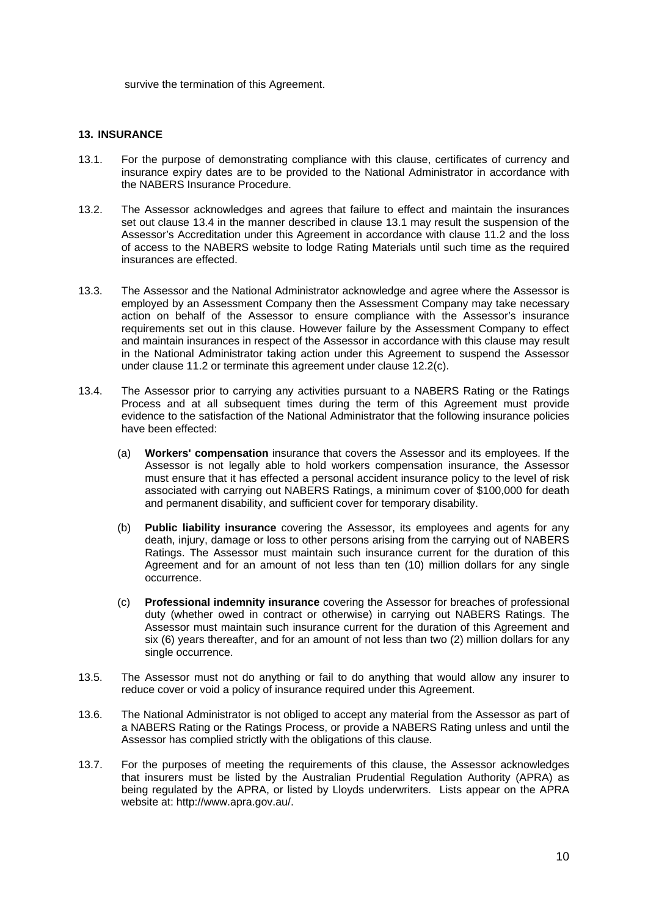survive the termination of this Agreement.

## **13. INSURANCE**

- 13.1. For the purpose of demonstrating compliance with this clause, certificates of currency and insurance expiry dates are to be provided to the National Administrator in accordance with the NABERS Insurance Procedure.
- 13.2. The Assessor acknowledges and agrees that failure to effect and maintain the insurances set out clause 13.4 in the manner described in clause 13.1 may result the suspension of the Assessor's Accreditation under this Agreement in accordance with clause 11.2 and the loss of access to the NABERS website to lodge Rating Materials until such time as the required insurances are effected.
- 13.3. The Assessor and the National Administrator acknowledge and agree where the Assessor is employed by an Assessment Company then the Assessment Company may take necessary action on behalf of the Assessor to ensure compliance with the Assessor's insurance requirements set out in this clause. However failure by the Assessment Company to effect and maintain insurances in respect of the Assessor in accordance with this clause may result in the National Administrator taking action under this Agreement to suspend the Assessor under clause 11.2 or terminate this agreement under clause 12.2(c).
- 13.4. The Assessor prior to carrying any activities pursuant to a NABERS Rating or the Ratings Process and at all subsequent times during the term of this Agreement must provide evidence to the satisfaction of the National Administrator that the following insurance policies have been effected:
	- (a) **Workers' compensation** insurance that covers the Assessor and its employees. If the Assessor is not legally able to hold workers compensation insurance, the Assessor must ensure that it has effected a personal accident insurance policy to the level of risk associated with carrying out NABERS Ratings, a minimum cover of \$100,000 for death and permanent disability, and sufficient cover for temporary disability.
	- (b) **Public liability insurance** covering the Assessor, its employees and agents for any death, injury, damage or loss to other persons arising from the carrying out of NABERS Ratings. The Assessor must maintain such insurance current for the duration of this Agreement and for an amount of not less than ten (10) million dollars for any single occurrence.
	- (c) **Professional indemnity insurance** covering the Assessor for breaches of professional duty (whether owed in contract or otherwise) in carrying out NABERS Ratings. The Assessor must maintain such insurance current for the duration of this Agreement and six (6) years thereafter, and for an amount of not less than two (2) million dollars for any single occurrence.
- 13.5. The Assessor must not do anything or fail to do anything that would allow any insurer to reduce cover or void a policy of insurance required under this Agreement.
- 13.6. The National Administrator is not obliged to accept any material from the Assessor as part of a NABERS Rating or the Ratings Process, or provide a NABERS Rating unless and until the Assessor has complied strictly with the obligations of this clause.
- 13.7. For the purposes of meeting the requirements of this clause, the Assessor acknowledges that insurers must be listed by the Australian Prudential Regulation Authority (APRA) as being regulated by the APRA, or listed by Lloyds underwriters. Lists appear on the APRA website at: http://www.apra.gov.au/.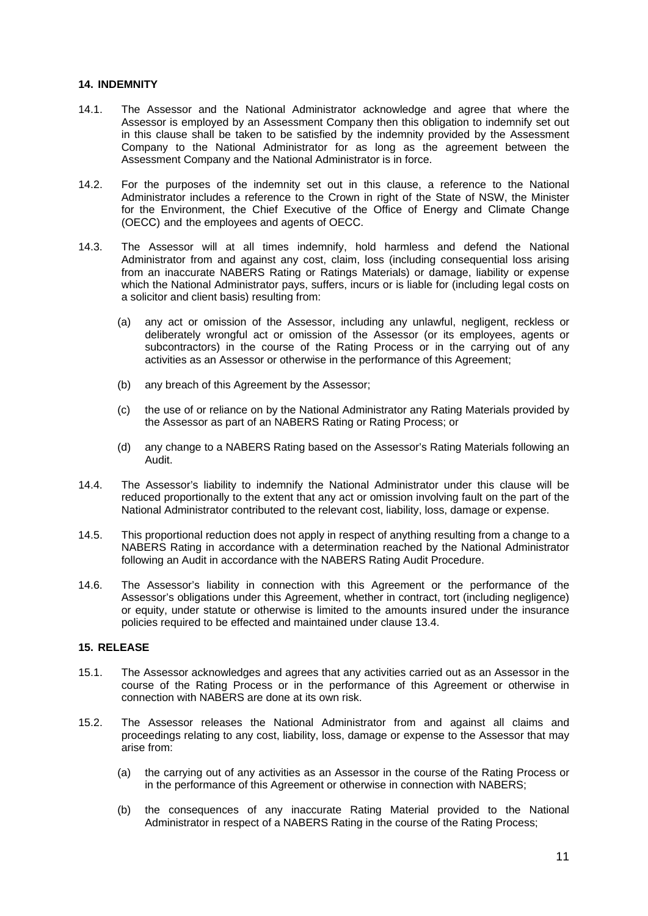## **14. INDEMNITY**

- 14.1. The Assessor and the National Administrator acknowledge and agree that where the Assessor is employed by an Assessment Company then this obligation to indemnify set out in this clause shall be taken to be satisfied by the indemnity provided by the Assessment Company to the National Administrator for as long as the agreement between the Assessment Company and the National Administrator is in force.
- 14.2. For the purposes of the indemnity set out in this clause, a reference to the National Administrator includes a reference to the Crown in right of the State of NSW, the Minister for the Environment, the Chief Executive of the Office of Energy and Climate Change (OECC) and the employees and agents of OECC.
- 14.3. The Assessor will at all times indemnify, hold harmless and defend the National Administrator from and against any cost, claim, loss (including consequential loss arising from an inaccurate NABERS Rating or Ratings Materials) or damage, liability or expense which the National Administrator pays, suffers, incurs or is liable for (including legal costs on a solicitor and client basis) resulting from:
	- (a) any act or omission of the Assessor, including any unlawful, negligent, reckless or deliberately wrongful act or omission of the Assessor (or its employees, agents or subcontractors) in the course of the Rating Process or in the carrying out of any activities as an Assessor or otherwise in the performance of this Agreement;
	- (b) any breach of this Agreement by the Assessor;
	- (c) the use of or reliance on by the National Administrator any Rating Materials provided by the Assessor as part of an NABERS Rating or Rating Process; or
	- (d) any change to a NABERS Rating based on the Assessor's Rating Materials following an Audit.
- 14.4. The Assessor's liability to indemnify the National Administrator under this clause will be reduced proportionally to the extent that any act or omission involving fault on the part of the National Administrator contributed to the relevant cost, liability, loss, damage or expense.
- 14.5. This proportional reduction does not apply in respect of anything resulting from a change to a NABERS Rating in accordance with a determination reached by the National Administrator following an Audit in accordance with the NABERS Rating Audit Procedure.
- 14.6. The Assessor's liability in connection with this Agreement or the performance of the Assessor's obligations under this Agreement, whether in contract, tort (including negligence) or equity, under statute or otherwise is limited to the amounts insured under the insurance policies required to be effected and maintained under clause 13.4.

## **15. RELEASE**

- 15.1. The Assessor acknowledges and agrees that any activities carried out as an Assessor in the course of the Rating Process or in the performance of this Agreement or otherwise in connection with NABERS are done at its own risk.
- 15.2. The Assessor releases the National Administrator from and against all claims and proceedings relating to any cost, liability, loss, damage or expense to the Assessor that may arise from:
	- (a) the carrying out of any activities as an Assessor in the course of the Rating Process or in the performance of this Agreement or otherwise in connection with NABERS;
	- (b) the consequences of any inaccurate Rating Material provided to the National Administrator in respect of a NABERS Rating in the course of the Rating Process;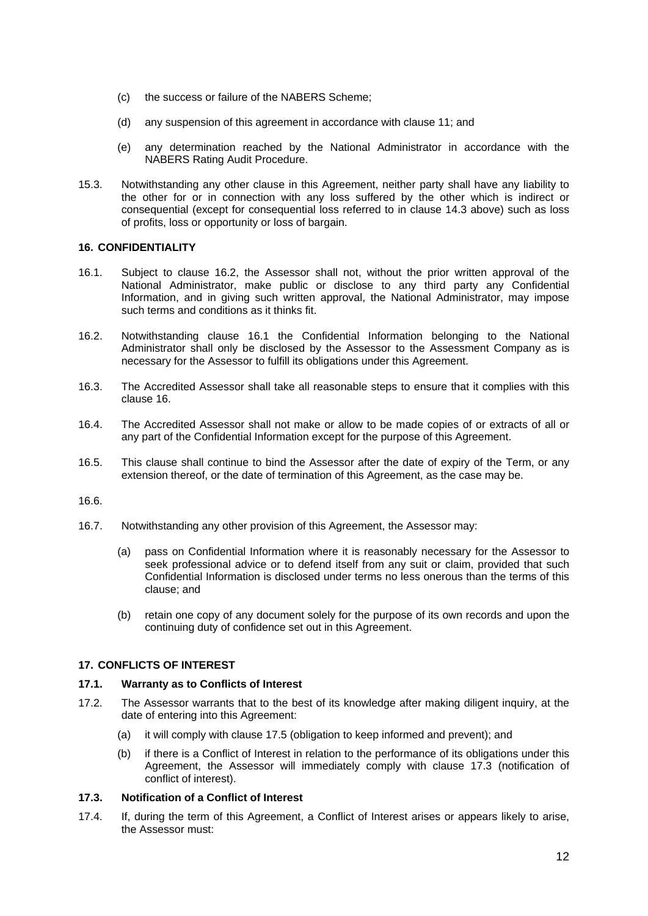- (c) the success or failure of the NABERS Scheme;
- (d) any suspension of this agreement in accordance with clause 11; and
- (e) any determination reached by the National Administrator in accordance with the NABERS Rating Audit Procedure.
- 15.3. Notwithstanding any other clause in this Agreement, neither party shall have any liability to the other for or in connection with any loss suffered by the other which is indirect or consequential (except for consequential loss referred to in clause 14.3 above) such as loss of profits, loss or opportunity or loss of bargain.

## **16. CONFIDENTIALITY**

- 16.1. Subject to clause 16.2, the Assessor shall not, without the prior written approval of the National Administrator, make public or disclose to any third party any Confidential Information, and in giving such written approval, the National Administrator, may impose such terms and conditions as it thinks fit.
- 16.2. Notwithstanding clause 16.1 the Confidential Information belonging to the National Administrator shall only be disclosed by the Assessor to the Assessment Company as is necessary for the Assessor to fulfill its obligations under this Agreement.
- 16.3. The Accredited Assessor shall take all reasonable steps to ensure that it complies with this clause 16.
- 16.4. The Accredited Assessor shall not make or allow to be made copies of or extracts of all or any part of the Confidential Information except for the purpose of this Agreement.
- 16.5. This clause shall continue to bind the Assessor after the date of expiry of the Term, or any extension thereof, or the date of termination of this Agreement, as the case may be.

#### 16.6.

- 16.7. Notwithstanding any other provision of this Agreement, the Assessor may:
	- (a) pass on Confidential Information where it is reasonably necessary for the Assessor to seek professional advice or to defend itself from any suit or claim, provided that such Confidential Information is disclosed under terms no less onerous than the terms of this clause; and
	- (b) retain one copy of any document solely for the purpose of its own records and upon the continuing duty of confidence set out in this Agreement.

# **17. CONFLICTS OF INTEREST**

## **17.1. Warranty as to Conflicts of Interest**

- 17.2. The Assessor warrants that to the best of its knowledge after making diligent inquiry, at the date of entering into this Agreement:
	- (a) it will comply with clause 17.5 (obligation to keep informed and prevent); and
	- (b) if there is a Conflict of Interest in relation to the performance of its obligations under this Agreement, the Assessor will immediately comply with clause 17.3 (notification of conflict of interest).

## **17.3. Notification of a Conflict of Interest**

17.4. If, during the term of this Agreement, a Conflict of Interest arises or appears likely to arise, the Assessor must: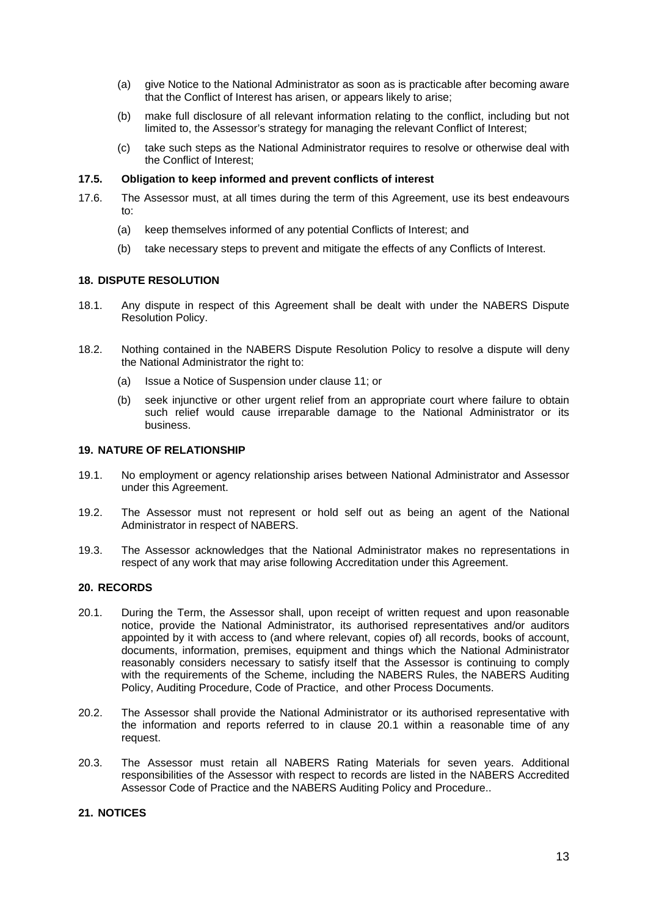- (a) give Notice to the National Administrator as soon as is practicable after becoming aware that the Conflict of Interest has arisen, or appears likely to arise;
- (b) make full disclosure of all relevant information relating to the conflict, including but not limited to, the Assessor's strategy for managing the relevant Conflict of Interest;
- (c) take such steps as the National Administrator requires to resolve or otherwise deal with the Conflict of Interest;

### **17.5. Obligation to keep informed and prevent conflicts of interest**

- 17.6. The Assessor must, at all times during the term of this Agreement, use its best endeavours to:
	- (a) keep themselves informed of any potential Conflicts of Interest; and
	- (b) take necessary steps to prevent and mitigate the effects of any Conflicts of Interest.

# **18. DISPUTE RESOLUTION**

- 18.1. Any dispute in respect of this Agreement shall be dealt with under the NABERS Dispute Resolution Policy.
- 18.2. Nothing contained in the NABERS Dispute Resolution Policy to resolve a dispute will deny the National Administrator the right to:
	- (a) Issue a Notice of Suspension under clause 11; or
	- (b) seek injunctive or other urgent relief from an appropriate court where failure to obtain such relief would cause irreparable damage to the National Administrator or its business.

## **19. NATURE OF RELATIONSHIP**

- 19.1. No employment or agency relationship arises between National Administrator and Assessor under this Agreement.
- 19.2. The Assessor must not represent or hold self out as being an agent of the National Administrator in respect of NABERS.
- 19.3. The Assessor acknowledges that the National Administrator makes no representations in respect of any work that may arise following Accreditation under this Agreement.

## **20. RECORDS**

- 20.1. During the Term, the Assessor shall, upon receipt of written request and upon reasonable notice, provide the National Administrator, its authorised representatives and/or auditors appointed by it with access to (and where relevant, copies of) all records, books of account, documents, information, premises, equipment and things which the National Administrator reasonably considers necessary to satisfy itself that the Assessor is continuing to comply with the requirements of the Scheme, including the NABERS Rules, the NABERS Auditing Policy, Auditing Procedure, Code of Practice, and other Process Documents.
- 20.2. The Assessor shall provide the National Administrator or its authorised representative with the information and reports referred to in clause 20.1 within a reasonable time of any request.
- 20.3. The Assessor must retain all NABERS Rating Materials for seven years. Additional responsibilities of the Assessor with respect to records are listed in the NABERS Accredited Assessor Code of Practice and the NABERS Auditing Policy and Procedure..

## **21. NOTICES**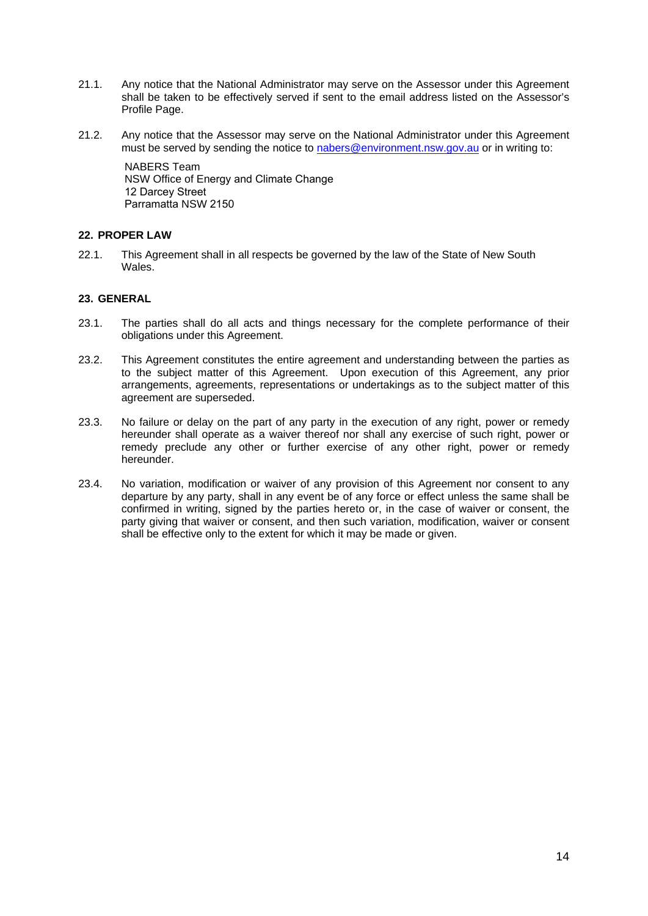- 21.1. Any notice that the National Administrator may serve on the Assessor under this Agreement shall be taken to be effectively served if sent to the email address listed on the Assessor's Profile Page.
- 21.2. Any notice that the Assessor may serve on the National Administrator under this Agreement must be served by sending the notice to nabers@environment.nsw.gov.au or in writing to:

NABERS Team NSW Office of Energy and Climate Change 12 Darcey Street Parramatta NSW 2150

# **22. PROPER LAW**

22.1. This Agreement shall in all respects be governed by the law of the State of New South Wales<sup>-</sup>

# **23. GENERAL**

- 23.1. The parties shall do all acts and things necessary for the complete performance of their obligations under this Agreement.
- 23.2. This Agreement constitutes the entire agreement and understanding between the parties as to the subject matter of this Agreement. Upon execution of this Agreement, any prior arrangements, agreements, representations or undertakings as to the subject matter of this agreement are superseded.
- 23.3. No failure or delay on the part of any party in the execution of any right, power or remedy hereunder shall operate as a waiver thereof nor shall any exercise of such right, power or remedy preclude any other or further exercise of any other right, power or remedy hereunder.
- 23.4. No variation, modification or waiver of any provision of this Agreement nor consent to any departure by any party, shall in any event be of any force or effect unless the same shall be confirmed in writing, signed by the parties hereto or, in the case of waiver or consent, the party giving that waiver or consent, and then such variation, modification, waiver or consent shall be effective only to the extent for which it may be made or given.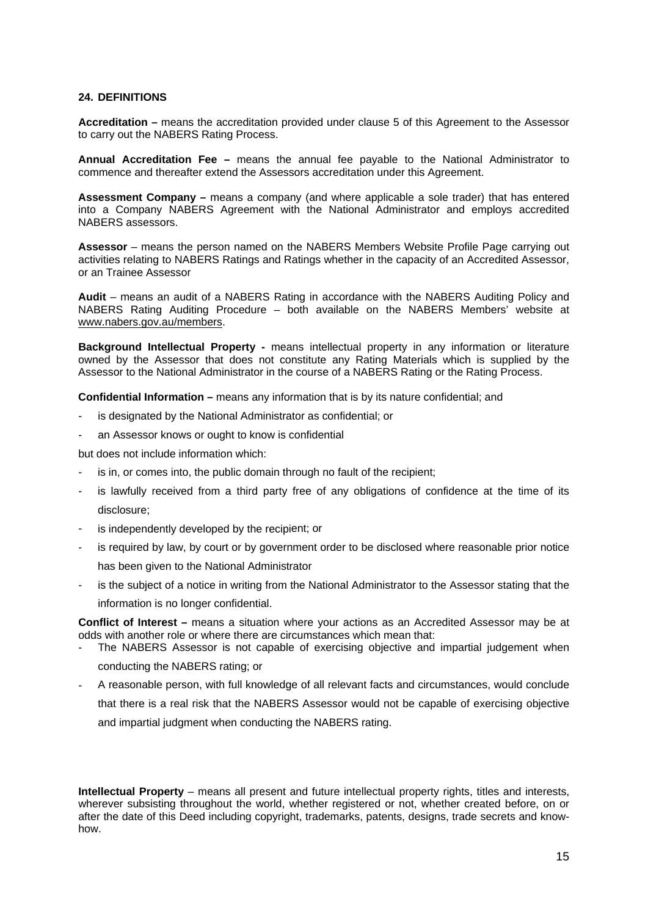## **24. DEFINITIONS**

**Accreditation –** means the accreditation provided under clause 5 of this Agreement to the Assessor to carry out the NABERS Rating Process.

**Annual Accreditation Fee –** means the annual fee payable to the National Administrator to commence and thereafter extend the Assessors accreditation under this Agreement.

**Assessment Company –** means a company (and where applicable a sole trader) that has entered into a Company NABERS Agreement with the National Administrator and employs accredited NABERS assessors.

**Assessor** – means the person named on the NABERS Members Website Profile Page carrying out activities relating to NABERS Ratings and Ratings whether in the capacity of an Accredited Assessor, or an Trainee Assessor

**Audit** – means an audit of a NABERS Rating in accordance with the NABERS Auditing Policy and NABERS Rating Auditing Procedure – both available on the NABERS Members' website at www.nabers.gov.au/members.

**Background Intellectual Property -** means intellectual property in any information or literature owned by the Assessor that does not constitute any Rating Materials which is supplied by the Assessor to the National Administrator in the course of a NABERS Rating or the Rating Process.

**Confidential Information –** means any information that is by its nature confidential; and

- is designated by the National Administrator as confidential; or
- an Assessor knows or ought to know is confidential

but does not include information which:

- is in, or comes into, the public domain through no fault of the recipient;
- is lawfully received from a third party free of any obligations of confidence at the time of its disclosure;
- is independently developed by the recipient; or
- is required by law, by court or by government order to be disclosed where reasonable prior notice has been given to the National Administrator
- is the subject of a notice in writing from the National Administrator to the Assessor stating that the information is no longer confidential.

**Conflict of Interest –** means a situation where your actions as an Accredited Assessor may be at odds with another role or where there are circumstances which mean that:

- The NABERS Assessor is not capable of exercising objective and impartial judgement when conducting the NABERS rating; or
- A reasonable person, with full knowledge of all relevant facts and circumstances, would conclude that there is a real risk that the NABERS Assessor would not be capable of exercising objective and impartial judgment when conducting the NABERS rating.

**Intellectual Property** – means all present and future intellectual property rights, titles and interests, wherever subsisting throughout the world, whether registered or not, whether created before, on or after the date of this Deed including copyright, trademarks, patents, designs, trade secrets and knowhow.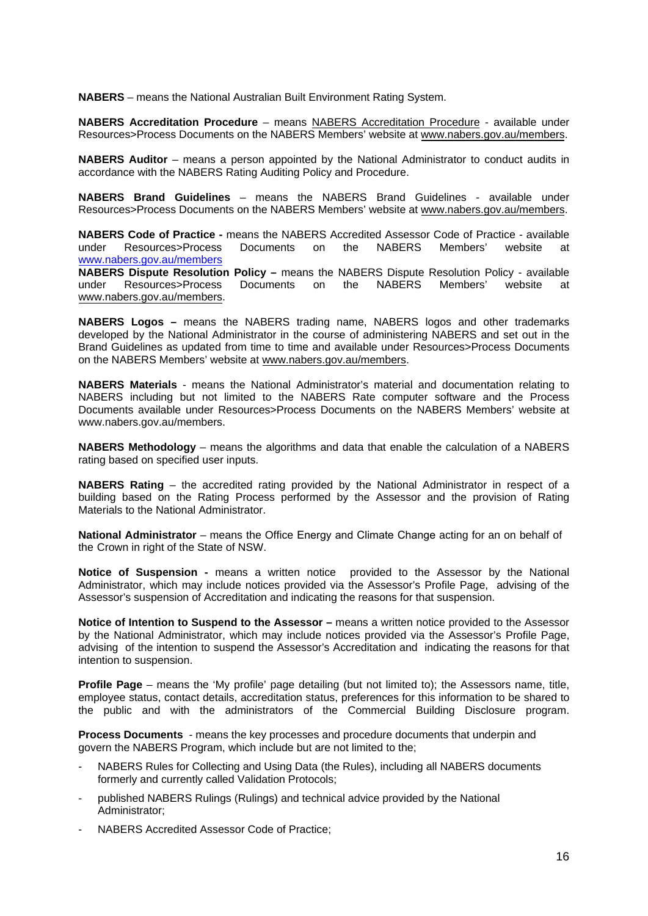**NABERS** – means the National Australian Built Environment Rating System.

**NABERS Accreditation Procedure** – means NABERS Accreditation Procedure - available under Resources>Process Documents on the NABERS Members' website at www.nabers.gov.au/members.

**NABERS Auditor** – means a person appointed by the National Administrator to conduct audits in accordance with the NABERS Rating Auditing Policy and Procedure.

**NABERS Brand Guidelines** – means the NABERS Brand Guidelines - available under Resources>Process Documents on the NABERS Members' website at www.nabers.gov.au/members.

**NABERS Code of Practice -** means the NABERS Accredited Assessor Code of Practice - available under Resources>Process Documents on the NABERS Members' website at www.nabers.gov.au/members

**NABERS Dispute Resolution Policy –** means the NABERS Dispute Resolution Policy - available under Resources>Process Documents on the NABERS Members' website at www.nabers.gov.au/members.

**NABERS Logos –** means the NABERS trading name, NABERS logos and other trademarks developed by the National Administrator in the course of administering NABERS and set out in the Brand Guidelines as updated from time to time and available under Resources>Process Documents on the NABERS Members' website at www.nabers.gov.au/members.

**NABERS Materials** - means the National Administrator's material and documentation relating to NABERS including but not limited to the NABERS Rate computer software and the Process Documents available under Resources>Process Documents on the NABERS Members' website at www.nabers.gov.au/members.

**NABERS Methodology** – means the algorithms and data that enable the calculation of a NABERS rating based on specified user inputs.

**NABERS Rating** – the accredited rating provided by the National Administrator in respect of a building based on the Rating Process performed by the Assessor and the provision of Rating Materials to the National Administrator.

**National Administrator** – means the Office Energy and Climate Change acting for an on behalf of the Crown in right of the State of NSW.

**Notice of Suspension -** means a written notice provided to the Assessor by the National Administrator, which may include notices provided via the Assessor's Profile Page, advising of the Assessor's suspension of Accreditation and indicating the reasons for that suspension.

**Notice of Intention to Suspend to the Assessor –** means a written notice provided to the Assessor by the National Administrator, which may include notices provided via the Assessor's Profile Page, advising of the intention to suspend the Assessor's Accreditation and indicating the reasons for that intention to suspension.

**Profile Page** – means the 'My profile' page detailing (but not limited to); the Assessors name, title, employee status, contact details, accreditation status, preferences for this information to be shared to the public and with the administrators of the Commercial Building Disclosure program.

**Process Documents** - means the key processes and procedure documents that underpin and govern the NABERS Program, which include but are not limited to the;

- NABERS Rules for Collecting and Using Data (the Rules), including all NABERS documents formerly and currently called Validation Protocols;
- published NABERS Rulings (Rulings) and technical advice provided by the National Administrator;
- NABERS Accredited Assessor Code of Practice;